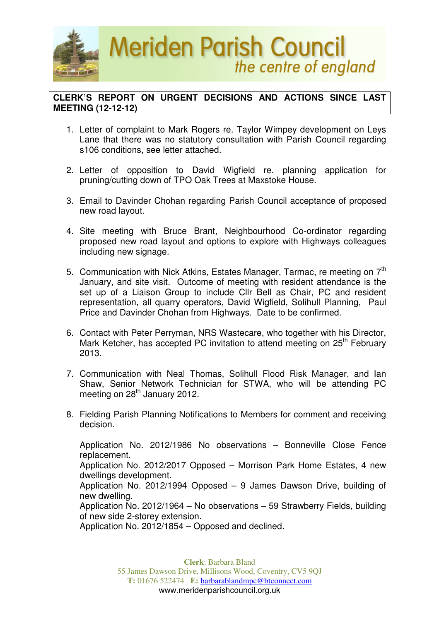

## **CLERK'S REPORT ON URGENT DECISIONS AND ACTIONS SINCE LAST MEETING (12-12-12)**

- 1. Letter of complaint to Mark Rogers re. Taylor Wimpey development on Leys Lane that there was no statutory consultation with Parish Council regarding s106 conditions, see letter attached.
- 2. Letter of opposition to David Wigfield re. planning application for pruning/cutting down of TPO Oak Trees at Maxstoke House.
- 3. Email to Davinder Chohan regarding Parish Council acceptance of proposed new road layout.
- 4. Site meeting with Bruce Brant, Neighbourhood Co-ordinator regarding proposed new road layout and options to explore with Highways colleagues including new signage.
- 5. Communication with Nick Atkins, Estates Manager, Tarmac, re meeting on  $7<sup>th</sup>$ January, and site visit. Outcome of meeting with resident attendance is the set up of a Liaison Group to include Cllr Bell as Chair, PC and resident representation, all quarry operators, David Wigfield, Solihull Planning, Paul Price and Davinder Chohan from Highways. Date to be confirmed.
- 6. Contact with Peter Perryman, NRS Wastecare, who together with his Director, Mark Ketcher, has accepted PC invitation to attend meeting on 25<sup>th</sup> February 2013.
- 7. Communication with Neal Thomas, Solihull Flood Risk Manager, and Ian Shaw, Senior Network Technician for STWA, who will be attending PC meeting on 28<sup>th</sup> January 2012.
- 8. Fielding Parish Planning Notifications to Members for comment and receiving decision.

Application No. 2012/1986 No observations – Bonneville Close Fence replacement. Application No. 2012/2017 Opposed – Morrison Park Home Estates, 4 new dwellings development. Application No. 2012/1994 Opposed – 9 James Dawson Drive, building of new dwelling. Application No. 2012/1964 – No observations – 59 Strawberry Fields, building of new side 2-storey extension.

Application No. 2012/1854 – Opposed and declined.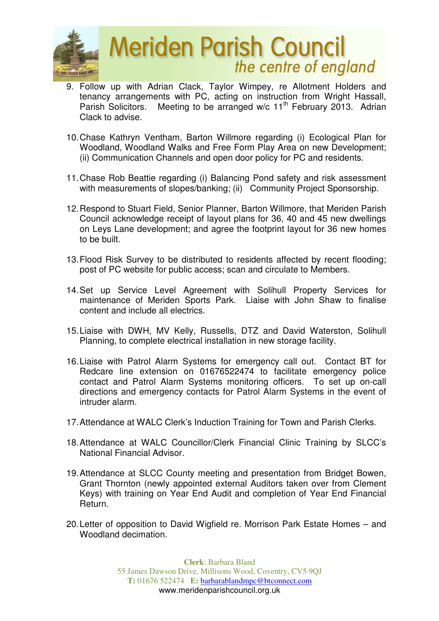

## **Meriden Parish Council** the centre of england

- 9. Follow up with Adrian Clack, Taylor Wimpey, re Allotment Holders and tenancy arrangements with PC, acting on instruction from Wright Hassall, Parish Solicitors. Meeting to be arranged w/c 11<sup>th</sup> February 2013. Adrian Clack to advise.
- 10. Chase Kathryn Ventham, Barton Willmore regarding (i) Ecological Plan for Woodland, Woodland Walks and Free Form Play Area on new Development; (ii) Communication Channels and open door policy for PC and residents.
- 11. Chase Rob Beattie regarding (i) Balancing Pond safety and risk assessment with measurements of slopes/banking; (ii) Community Project Sponsorship.
- 12. Respond to Stuart Field, Senior Planner, Barton Willmore, that Meriden Parish Council acknowledge receipt of layout plans for 36, 40 and 45 new dwellings on Leys Lane development; and agree the footprint layout for 36 new homes to be built.
- 13. Flood Risk Survey to be distributed to residents affected by recent flooding; post of PC website for public access; scan and circulate to Members.
- 14. Set up Service Level Agreement with Solihull Property Services for maintenance of Meriden Sports Park. Liaise with John Shaw to finalise content and include all electrics.
- 15. Liaise with DWH, MV Kelly, Russells, DTZ and David Waterston, Solihull Planning, to complete electrical installation in new storage facility.
- 16. Liaise with Patrol Alarm Systems for emergency call out. Contact BT for Redcare line extension on 01676522474 to facilitate emergency police contact and Patrol Alarm Systems monitoring officers. To set up on-call directions and emergency contacts for Patrol Alarm Systems in the event of intruder alarm.
- 17. Attendance at WALC Clerk's Induction Training for Town and Parish Clerks.
- 18. Attendance at WALC Councillor/Clerk Financial Clinic Training by SLCC's National Financial Advisor.
- 19. Attendance at SLCC County meeting and presentation from Bridget Bowen, Grant Thornton (newly appointed external Auditors taken over from Clement Keys) with training on Year End Audit and completion of Year End Financial Return.
- 20. Letter of opposition to David Wigfield re. Morrison Park Estate Homes and Woodland decimation.